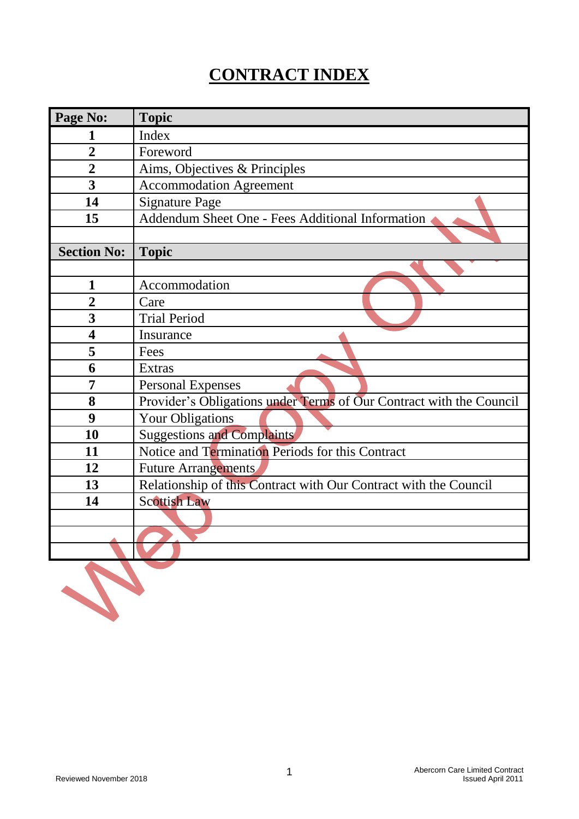# **CONTRACT INDEX**

| Page No:                | <b>Topic</b>                                                        |
|-------------------------|---------------------------------------------------------------------|
|                         | Index                                                               |
| $\overline{2}$          | Foreword                                                            |
| $\overline{2}$          | Aims, Objectives & Principles                                       |
| 3                       | <b>Accommodation Agreement</b>                                      |
| 14                      | <b>Signature Page</b>                                               |
| 15                      | Addendum Sheet One - Fees Additional Information                    |
|                         |                                                                     |
| <b>Section No:</b>      | <b>Topic</b>                                                        |
|                         |                                                                     |
| $\mathbf{1}$            | Accommodation                                                       |
| $\overline{2}$          | Care                                                                |
| 3                       | <b>Trial Period</b>                                                 |
| $\overline{\mathbf{4}}$ | Insurance                                                           |
| 5                       | Fees                                                                |
| 6                       | Extras                                                              |
| 7                       | <b>Personal Expenses</b>                                            |
| 8                       | Provider's Obligations under Terms of Our Contract with the Council |
| 9                       | <b>Your Obligations</b>                                             |
| 10                      | <b>Suggestions and Complaints</b>                                   |
| 11                      | Notice and Termination Periods for this Contract                    |
| 12                      | <b>Future Arrangements</b>                                          |
| 13                      | Relationship of this Contract with Our Contract with the Council    |
| 14                      | <b>Scottish Law</b>                                                 |
|                         |                                                                     |
|                         |                                                                     |
|                         |                                                                     |
|                         |                                                                     |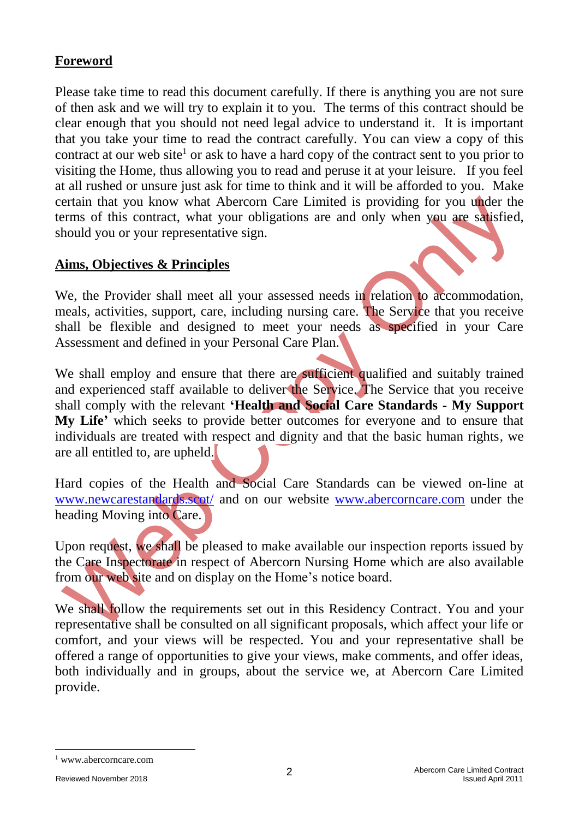#### **Foreword**

Please take time to read this document carefully. If there is anything you are not sure of then ask and we will try to explain it to you. The terms of this contract should be clear enough that you should not need legal advice to understand it. It is important that you take your time to read the contract carefully. You can view a copy of this contract at our web site<sup>1</sup> or ask to have a hard copy of the contract sent to you prior to visiting the Home, thus allowing you to read and peruse it at your leisure. If you feel at all rushed or unsure just ask for time to think and it will be afforded to you. Make certain that you know what Abercorn Care Limited is providing for you under the terms of this contract, what your obligations are and only when you are satisfied, should you or your representative sign.

#### **Aims, Objectives & Principles**

We, the Provider shall meet all your assessed needs in relation to accommodation, meals, activities, support, care, including nursing care. The Service that you receive shall be flexible and designed to meet your needs as specified in your Care Assessment and defined in your Personal Care Plan.

We shall employ and ensure that there are sufficient qualified and suitably trained and experienced staff available to deliver the Service. The Service that you receive shall comply with the relevant **'Health and Social Care Standards - My Support My Life'** which seeks to provide better outcomes for everyone and to ensure that individuals are treated with respect and dignity and that the basic human rights, we are all entitled to, are upheld.

Hard copies of the Health and Social Care Standards can be viewed on-line at [www.newcarestandards.scot/](http://www.newcarestandards.scot/) and on our website [www.abercorncare.com](http://www.abercorncare.com/) under the heading Moving into Care.

Upon request, we shall be pleased to make available our inspection reports issued by the Care Inspectorate in respect of Abercorn Nursing Home which are also available from our web site and on display on the Home's notice board.

We shall follow the requirements set out in this Residency Contract. You and your representative shall be consulted on all significant proposals, which affect your life or comfort, and your views will be respected. You and your representative shall be offered a range of opportunities to give your views, make comments, and offer ideas, both individually and in groups, about the service we, at Abercorn Care Limited provide.

<sup>1</sup> www.abercorncare.com

-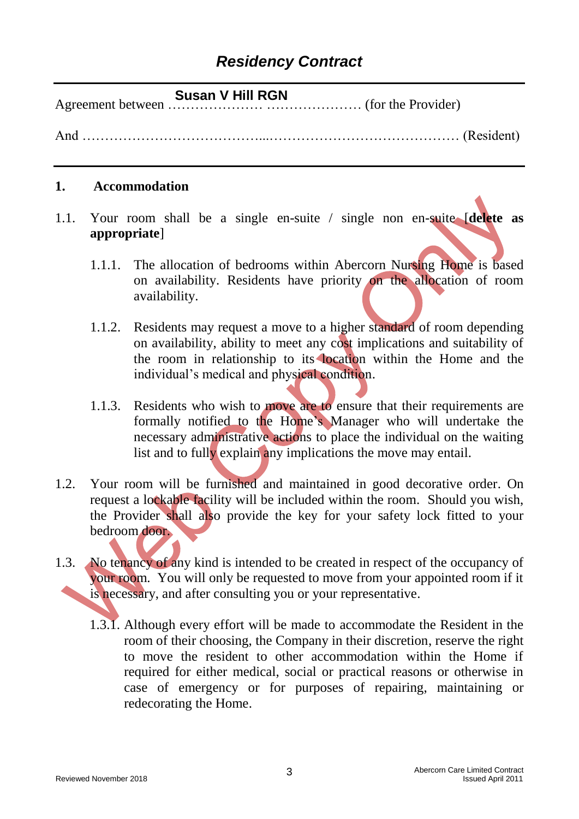#### **Susan V Hill RGN**

Agreement between ………………… ………………… (for the Provider)

And …………………………………...…………………………………… (Resident)

#### **1. Accommodation**

1.1. Your room shall be a single en-suite / single non en-suite [**delete as appropriate**]

- 1.1.1. The allocation of bedrooms within Abercorn Nursing Home is based on availability. Residents have priority on the allocation of room availability.
- 1.1.2. Residents may request a move to a higher standard of room depending on availability, ability to meet any cost implications and suitability of the room in relationship to its location within the Home and the individual's medical and physical condition.
- 1.1.3. Residents who wish to move are to ensure that their requirements are formally notified to the Home's Manager who will undertake the necessary administrative actions to place the individual on the waiting list and to fully explain any implications the move may entail.
- 1.2. Your room will be furnished and maintained in good decorative order. On request a lockable facility will be included within the room. Should you wish, the Provider shall also provide the key for your safety lock fitted to your bedroom door.
- 1.3. No tenancy of any kind is intended to be created in respect of the occupancy of your room. You will only be requested to move from your appointed room if it is necessary, and after consulting you or your representative.
	- 1.3.1. Although every effort will be made to accommodate the Resident in the room of their choosing, the Company in their discretion, reserve the right to move the resident to other accommodation within the Home if required for either medical, social or practical reasons or otherwise in case of emergency or for purposes of repairing, maintaining or redecorating the Home.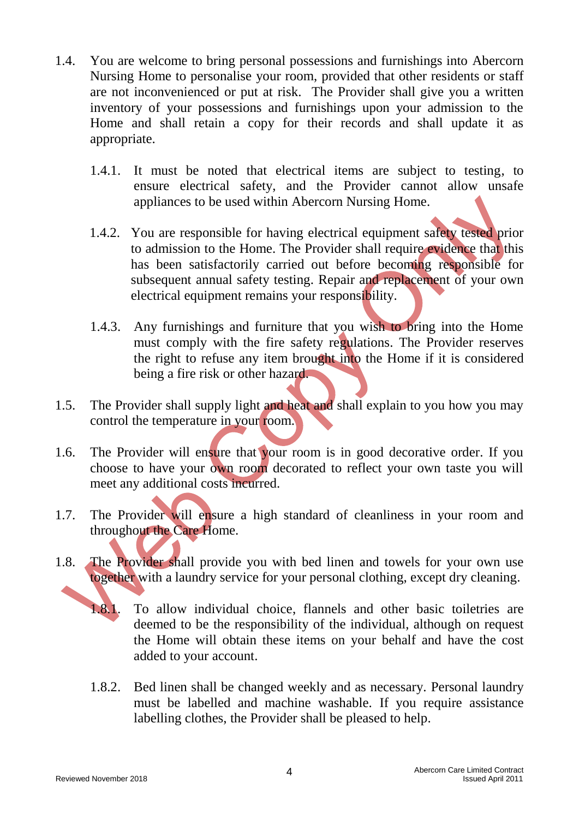- 1.4. You are welcome to bring personal possessions and furnishings into Abercorn Nursing Home to personalise your room, provided that other residents or staff are not inconvenienced or put at risk. The Provider shall give you a written inventory of your possessions and furnishings upon your admission to the Home and shall retain a copy for their records and shall update it as appropriate.
	- 1.4.1. It must be noted that electrical items are subject to testing, to ensure electrical safety, and the Provider cannot allow unsafe appliances to be used within Abercorn Nursing Home.
	- 1.4.2. You are responsible for having electrical equipment safety tested prior to admission to the Home. The Provider shall require evidence that this has been satisfactorily carried out before becoming responsible for subsequent annual safety testing. Repair and replacement of your own electrical equipment remains your responsibility.
	- 1.4.3. Any furnishings and furniture that you wish to bring into the Home must comply with the fire safety regulations. The Provider reserves the right to refuse any item brought into the Home if it is considered being a fire risk or other hazard.
- 1.5. The Provider shall supply light and heat and shall explain to you how you may control the temperature in your room.
- 1.6. The Provider will ensure that your room is in good decorative order. If you choose to have your own room decorated to reflect your own taste you will meet any additional costs incurred.
- 1.7. The Provider will ensure a high standard of cleanliness in your room and throughout the Care Home.
- 1.8. The Provider shall provide you with bed linen and towels for your own use together with a laundry service for your personal clothing, except dry cleaning.
	- 1.8.1. To allow individual choice, flannels and other basic toiletries are deemed to be the responsibility of the individual, although on request the Home will obtain these items on your behalf and have the cost added to your account.
	- 1.8.2. Bed linen shall be changed weekly and as necessary. Personal laundry must be labelled and machine washable. If you require assistance labelling clothes, the Provider shall be pleased to help.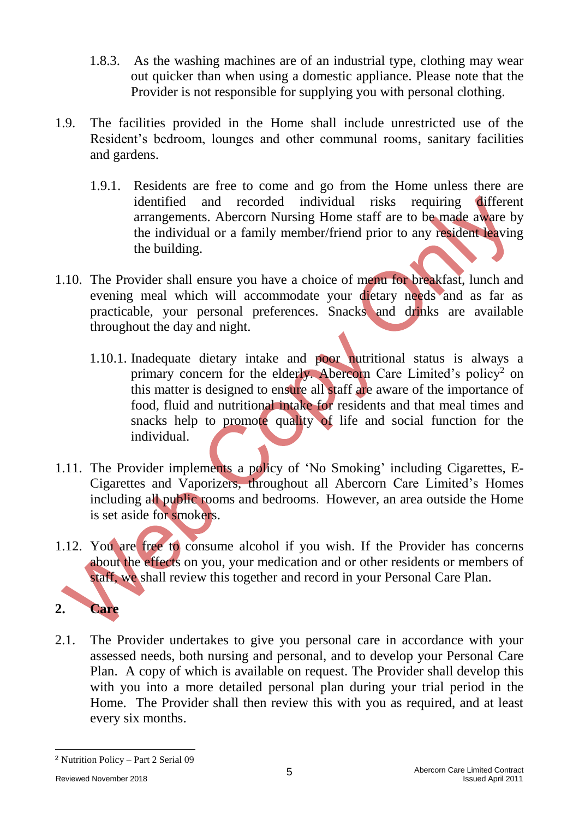- 1.8.3. As the washing machines are of an industrial type, clothing may wear out quicker than when using a domestic appliance. Please note that the Provider is not responsible for supplying you with personal clothing.
- 1.9. The facilities provided in the Home shall include unrestricted use of the Resident's bedroom, lounges and other communal rooms, sanitary facilities and gardens.
	- 1.9.1. Residents are free to come and go from the Home unless there are identified and recorded individual risks requiring different arrangements. Abercorn Nursing Home staff are to be made aware by the individual or a family member/friend prior to any resident leaving the building.
- 1.10. The Provider shall ensure you have a choice of menu for breakfast, lunch and evening meal which will accommodate your dietary needs and as far as practicable, your personal preferences. Snacks and drinks are available throughout the day and night.
	- 1.10.1. Inadequate dietary intake and poor nutritional status is always a primary concern for the elderly. Abercorn Care Limited's policy<sup>2</sup> on this matter is designed to ensure all staff are aware of the importance of food, fluid and nutritional intake for residents and that meal times and snacks help to promote quality of life and social function for the individual.
- 1.11. The Provider implements a policy of 'No Smoking' including Cigarettes, E-Cigarettes and Vaporizers, throughout all Abercorn Care Limited's Homes including all public rooms and bedrooms. However, an area outside the Home is set aside for smokers.
- 1.12. You are free to consume alcohol if you wish. If the Provider has concerns about the effects on you, your medication and or other residents or members of staff, we shall review this together and record in your Personal Care Plan.

## **2. Care**

2.1. The Provider undertakes to give you personal care in accordance with your assessed needs, both nursing and personal, and to develop your Personal Care Plan. A copy of which is available on request. The Provider shall develop this with you into a more detailed personal plan during your trial period in the Home. The Provider shall then review this with you as required, and at least every six months.

-

<sup>2</sup> Nutrition Policy – Part 2 Serial 09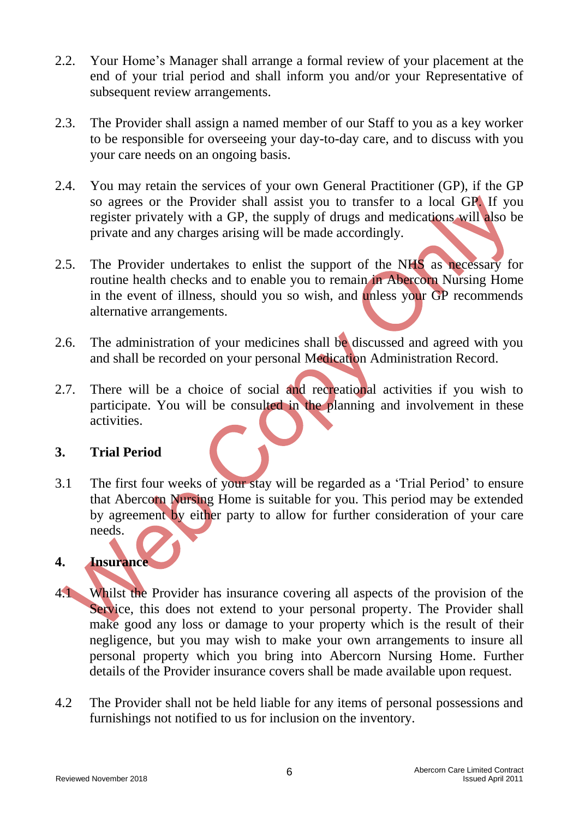- 2.2. Your Home's Manager shall arrange a formal review of your placement at the end of your trial period and shall inform you and/or your Representative of subsequent review arrangements.
- 2.3. The Provider shall assign a named member of our Staff to you as a key worker to be responsible for overseeing your day-to-day care, and to discuss with you your care needs on an ongoing basis.
- 2.4. You may retain the services of your own General Practitioner (GP), if the GP so agrees or the Provider shall assist you to transfer to a local GP. If you register privately with a GP, the supply of drugs and medications will also be private and any charges arising will be made accordingly.
- 2.5. The Provider undertakes to enlist the support of the NHS as necessary for routine health checks and to enable you to remain in Abercorn Nursing Home in the event of illness, should you so wish, and unless your GP recommends alternative arrangements.
- 2.6. The administration of your medicines shall be discussed and agreed with you and shall be recorded on your personal Medication Administration Record.
- 2.7. There will be a choice of social and recreational activities if you wish to participate. You will be consulted in the planning and involvement in these activities.

#### **3. Trial Period**

3.1 The first four weeks of your stay will be regarded as a 'Trial Period' to ensure that Abercorn Nursing Home is suitable for you. This period may be extended by agreement by either party to allow for further consideration of your care needs.

### **4. Insurance**

- 4.1 Whilst the Provider has insurance covering all aspects of the provision of the Service, this does not extend to your personal property. The Provider shall make good any loss or damage to your property which is the result of their negligence, but you may wish to make your own arrangements to insure all personal property which you bring into Abercorn Nursing Home. Further details of the Provider insurance covers shall be made available upon request.
- 4.2 The Provider shall not be held liable for any items of personal possessions and furnishings not notified to us for inclusion on the inventory.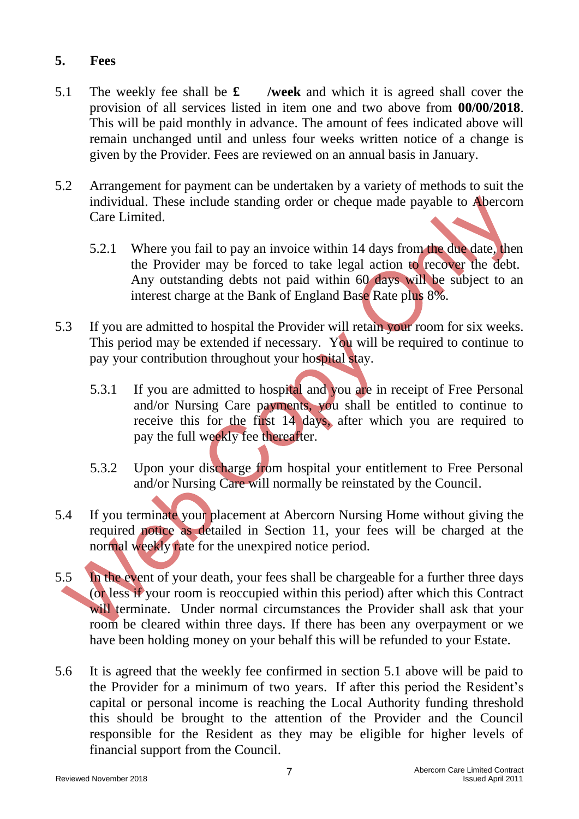#### **5. Fees**

- 5.1 The weekly fee shall be **£ /week** and which it is agreed shall cover the provision of all services listed in item one and two above from **00/00/2018**. This will be paid monthly in advance. The amount of fees indicated above will remain unchanged until and unless four weeks written notice of a change is given by the Provider. Fees are reviewed on an annual basis in January.
- 5.2 Arrangement for payment can be undertaken by a variety of methods to suit the individual. These include standing order or cheque made payable to Abercorn Care Limited.
	- 5.2.1 Where you fail to pay an invoice within 14 days from the due date, then the Provider may be forced to take legal action to recover the debt. Any outstanding debts not paid within 60 days will be subject to an interest charge at the Bank of England Base Rate plus 8%.
- 5.3 If you are admitted to hospital the Provider will retain your room for six weeks. This period may be extended if necessary. You will be required to continue to pay your contribution throughout your hospital stay.
	- 5.3.1 If you are admitted to hospital and you are in receipt of Free Personal and/or Nursing Care payments, you shall be entitled to continue to receive this for the first 14 days, after which you are required to pay the full weekly fee thereafter.
	- 5.3.2 Upon your discharge from hospital your entitlement to Free Personal and/or Nursing Care will normally be reinstated by the Council.
- 5.4 If you terminate your placement at Abercorn Nursing Home without giving the required notice as detailed in Section 11, your fees will be charged at the normal weekly rate for the unexpired notice period.
- 5.5 In the event of your death, your fees shall be chargeable for a further three days (or less if your room is reoccupied within this period) after which this Contract will terminate. Under normal circumstances the Provider shall ask that your room be cleared within three days. If there has been any overpayment or we have been holding money on your behalf this will be refunded to your Estate.
- 5.6 It is agreed that the weekly fee confirmed in section 5.1 above will be paid to the Provider for a minimum of two years. If after this period the Resident's capital or personal income is reaching the Local Authority funding threshold this should be brought to the attention of the Provider and the Council responsible for the Resident as they may be eligible for higher levels of financial support from the Council.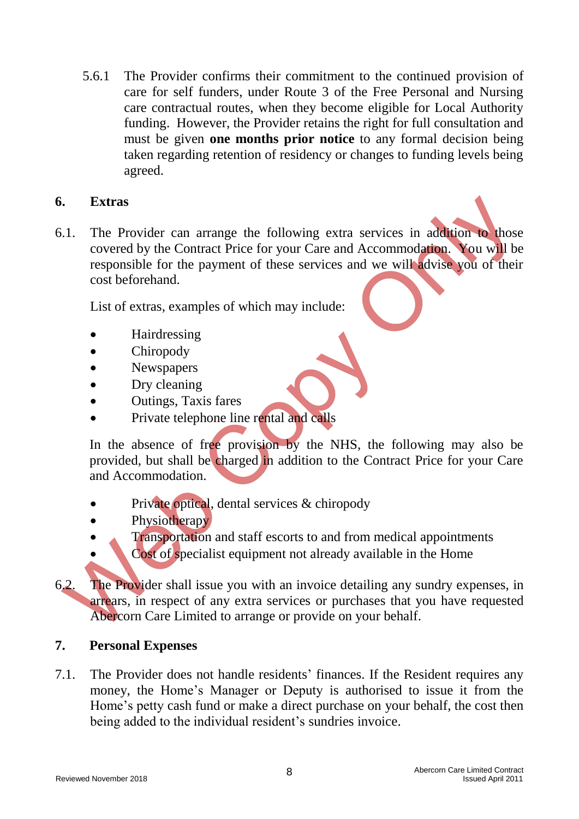5.6.1 The Provider confirms their commitment to the continued provision of care for self funders, under Route 3 of the Free Personal and Nursing care contractual routes, when they become eligible for Local Authority funding. However, the Provider retains the right for full consultation and must be given **one months prior notice** to any formal decision being taken regarding retention of residency or changes to funding levels being agreed.

#### **6. Extras**

6.1. The Provider can arrange the following extra services in addition to those covered by the Contract Price for your Care and Accommodation. You will be responsible for the payment of these services and we will advise you of their cost beforehand.

List of extras, examples of which may include:

- Hairdressing
- **Chiropody**
- Newspapers
- Dry cleaning
- Outings, Taxis fares
- Private telephone line rental and calls

In the absence of free provision by the NHS, the following may also be provided, but shall be charged in addition to the Contract Price for your Care and Accommodation.

- Private optical, dental services & chiropody
- Physiotherapy
- **Transportation and staff escorts to and from medical appointments** 
	- Cost of specialist equipment not already available in the Home
- 6.2. The Provider shall issue you with an invoice detailing any sundry expenses, in arrears, in respect of any extra services or purchases that you have requested Abercorn Care Limited to arrange or provide on your behalf.

#### **7. Personal Expenses**

7.1. The Provider does not handle residents' finances. If the Resident requires any money, the Home's Manager or Deputy is authorised to issue it from the Home's petty cash fund or make a direct purchase on your behalf, the cost then being added to the individual resident's sundries invoice.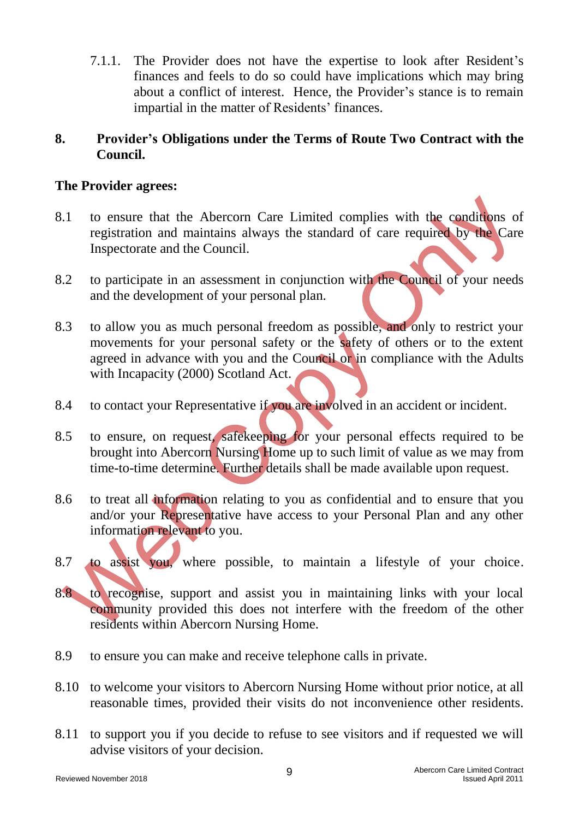7.1.1. The Provider does not have the expertise to look after Resident's finances and feels to do so could have implications which may bring about a conflict of interest. Hence, the Provider's stance is to remain impartial in the matter of Residents' finances.

#### **8. Provider's Obligations under the Terms of Route Two Contract with the Council.**

#### **The Provider agrees:**

- 8.1 to ensure that the Abercorn Care Limited complies with the conditions of registration and maintains always the standard of care required by the Care Inspectorate and the Council.
- 8.2 to participate in an assessment in conjunction with the Council of your needs and the development of your personal plan.
- 8.3 to allow you as much personal freedom as possible, and only to restrict your movements for your personal safety or the safety of others or to the extent agreed in advance with you and the Council or in compliance with the Adults with Incapacity (2000) Scotland Act.
- 8.4 to contact your Representative if you are involved in an accident or incident.
- 8.5 to ensure, on request, safekeeping for your personal effects required to be brought into Abercorn Nursing Home up to such limit of value as we may from time-to-time determine. Further details shall be made available upon request.
- 8.6 to treat all information relating to you as confidential and to ensure that you and/or your Representative have access to your Personal Plan and any other information relevant to you.
- 8.7 to assist you, where possible, to maintain a lifestyle of your choice.
- 8.8 to recognise, support and assist you in maintaining links with your local community provided this does not interfere with the freedom of the other residents within Abercorn Nursing Home.
- 8.9 to ensure you can make and receive telephone calls in private.
- 8.10 to welcome your visitors to Abercorn Nursing Home without prior notice, at all reasonable times, provided their visits do not inconvenience other residents.
- 8.11 to support you if you decide to refuse to see visitors and if requested we will advise visitors of your decision.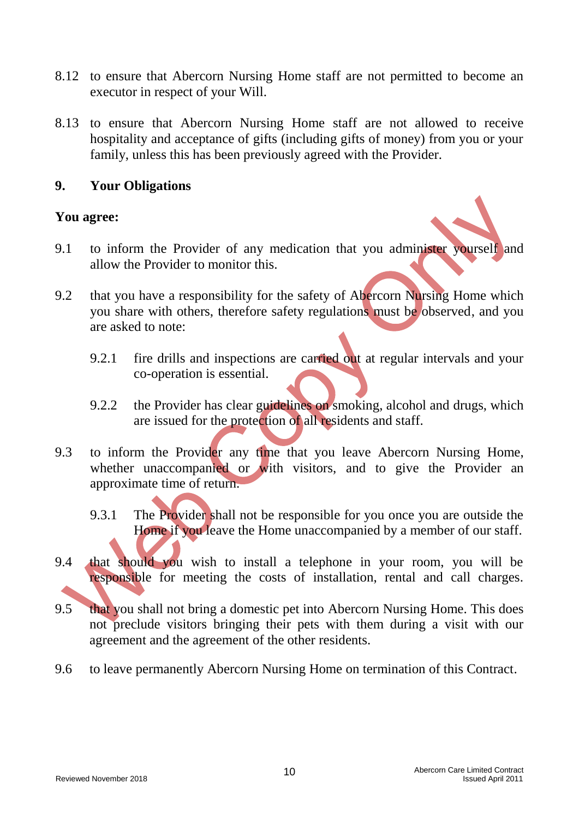- 8.12 to ensure that Abercorn Nursing Home staff are not permitted to become an executor in respect of your Will.
- 8.13 to ensure that Abercorn Nursing Home staff are not allowed to receive hospitality and acceptance of gifts (including gifts of money) from you or your family, unless this has been previously agreed with the Provider.

#### **9. Your Obligations**

#### **You agree:**

- 9.1 to inform the Provider of any medication that you administer yourself and allow the Provider to monitor this.
- 9.2 that you have a responsibility for the safety of Abercorn Nursing Home which you share with others, therefore safety regulations must be observed, and you are asked to note:
	- 9.2.1 fire drills and inspections are carried out at regular intervals and your co-operation is essential.
	- 9.2.2 the Provider has clear guidelines on smoking, alcohol and drugs, which are issued for the protection of all residents and staff.
- 9.3 to inform the Provider any time that you leave Abercorn Nursing Home, whether unaccompanied or with visitors, and to give the Provider an approximate time of return.
	- 9.3.1 The Provider shall not be responsible for you once you are outside the Home if you leave the Home unaccompanied by a member of our staff.
- 9.4 that should you wish to install a telephone in your room, you will be responsible for meeting the costs of installation, rental and call charges.
- 9.5 that you shall not bring a domestic pet into Abercorn Nursing Home. This does not preclude visitors bringing their pets with them during a visit with our agreement and the agreement of the other residents.
- 9.6 to leave permanently Abercorn Nursing Home on termination of this Contract.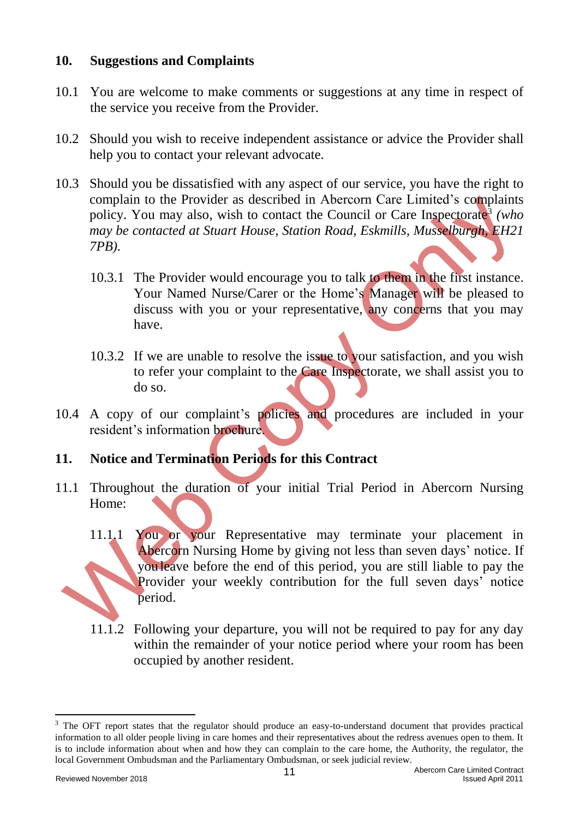#### **10. Suggestions and Complaints**

- 10.1 You are welcome to make comments or suggestions at any time in respect of the service you receive from the Provider.
- 10.2 Should you wish to receive independent assistance or advice the Provider shall help you to contact your relevant advocate.
- 10.3 Should you be dissatisfied with any aspect of our service, you have the right to complain to the Provider as described in Abercorn Care Limited's complaints policy. You may also, wish to contact the Council or Care Inspectorate<sup>3</sup> *(who may be contacted at Stuart House, Station Road, Eskmills, Musselburgh, EH21 7PB).*
	- 10.3.1 The Provider would encourage you to talk to them in the first instance. Your Named Nurse/Carer or the Home's Manager will be pleased to discuss with you or your representative, any concerns that you may have.
	- 10.3.2 If we are unable to resolve the issue to your satisfaction, and you wish to refer your complaint to the Care Inspectorate, we shall assist you to do so.
- 10.4 A copy of our complaint's policies and procedures are included in your resident's information brochure.
- **11. Notice and Termination Periods for this Contract**
- 11.1 Throughout the duration of your initial Trial Period in Abercorn Nursing Home:
	- 11.1.1 You or your Representative may terminate your placement in Abercorn Nursing Home by giving not less than seven days' notice. If you leave before the end of this period, you are still liable to pay the Provider your weekly contribution for the full seven days' notice period.
	- 11.1.2 Following your departure, you will not be required to pay for any day within the remainder of your notice period where your room has been occupied by another resident.

-

<sup>&</sup>lt;sup>3</sup> The OFT report states that the regulator should produce an easy-to-understand document that provides practical information to all older people living in care homes and their representatives about the redress avenues open to them. It is to include information about when and how they can complain to the care home, the Authority, the regulator, the local Government Ombudsman and the Parliamentary Ombudsman, or seek judicial review.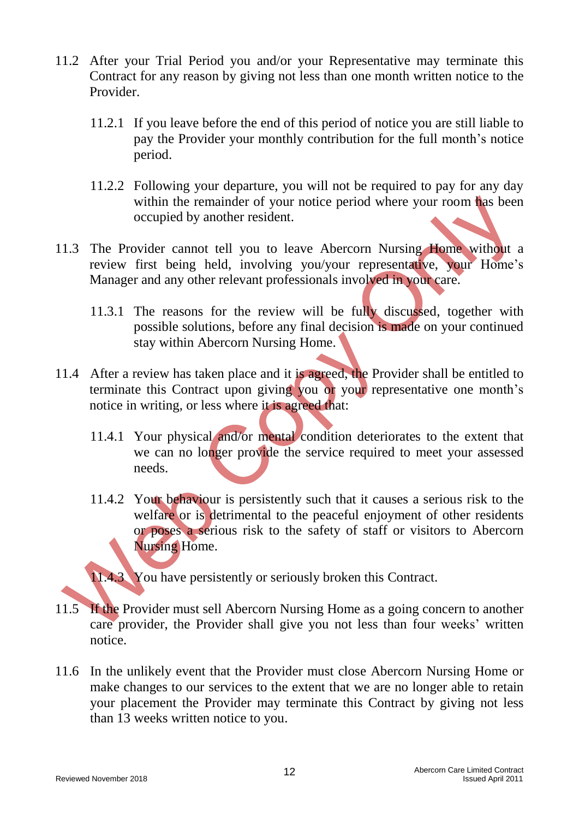- 11.2 After your Trial Period you and/or your Representative may terminate this Contract for any reason by giving not less than one month written notice to the Provider.
	- 11.2.1 If you leave before the end of this period of notice you are still liable to pay the Provider your monthly contribution for the full month's notice period.
	- 11.2.2 Following your departure, you will not be required to pay for any day within the remainder of your notice period where your room has been occupied by another resident.
- 11.3 The Provider cannot tell you to leave Abercorn Nursing Home without a review first being held, involving you/your representative, your Home's Manager and any other relevant professionals involved in your care.
	- 11.3.1 The reasons for the review will be fully discussed, together with possible solutions, before any final decision is made on your continued stay within Abercorn Nursing Home.
- 11.4 After a review has taken place and it is agreed, the Provider shall be entitled to terminate this Contract upon giving you or your representative one month's notice in writing, or less where it is agreed that:
	- 11.4.1 Your physical and/or mental condition deteriorates to the extent that we can no longer provide the service required to meet your assessed needs.
	- 11.4.2 Your behaviour is persistently such that it causes a serious risk to the welfare or is detrimental to the peaceful enjoyment of other residents or poses a serious risk to the safety of staff or visitors to Abercorn Nursing Home.

11.4.3 You have persistently or seriously broken this Contract.

- 11.5 If the Provider must sell Abercorn Nursing Home as a going concern to another care provider, the Provider shall give you not less than four weeks' written notice.
- 11.6 In the unlikely event that the Provider must close Abercorn Nursing Home or make changes to our services to the extent that we are no longer able to retain your placement the Provider may terminate this Contract by giving not less than 13 weeks written notice to you.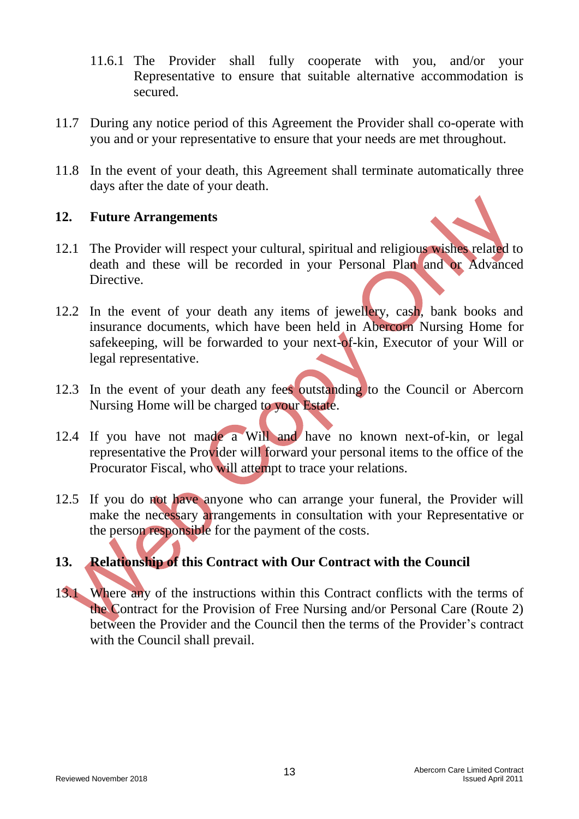- 11.6.1 The Provider shall fully cooperate with you, and/or your Representative to ensure that suitable alternative accommodation is secured.
- 11.7 During any notice period of this Agreement the Provider shall co-operate with you and or your representative to ensure that your needs are met throughout.
- 11.8 In the event of your death, this Agreement shall terminate automatically three days after the date of your death.

#### **12. Future Arrangements**

- 12.1 The Provider will respect your cultural, spiritual and religious wishes related to death and these will be recorded in your Personal Plan and or Advanced Directive.
- 12.2 In the event of your death any items of jewellery, cash, bank books and insurance documents, which have been held in Abercorn Nursing Home for safekeeping, will be forwarded to your next-of-kin, Executor of your Will or legal representative.
- 12.3 In the event of your death any fees outstanding to the Council or Abercorn Nursing Home will be charged to your Estate.
- 12.4 If you have not made a Will and have no known next-of-kin, or legal representative the Provider will forward your personal items to the office of the Procurator Fiscal, who will attempt to trace your relations.
- 12.5 If you do not have anyone who can arrange your funeral, the Provider will make the necessary arrangements in consultation with your Representative or the person responsible for the payment of the costs.

## **13. Relationship of this Contract with Our Contract with the Council**

13.1 Where any of the instructions within this Contract conflicts with the terms of the Contract for the Provision of Free Nursing and/or Personal Care (Route 2) between the Provider and the Council then the terms of the Provider's contract with the Council shall prevail.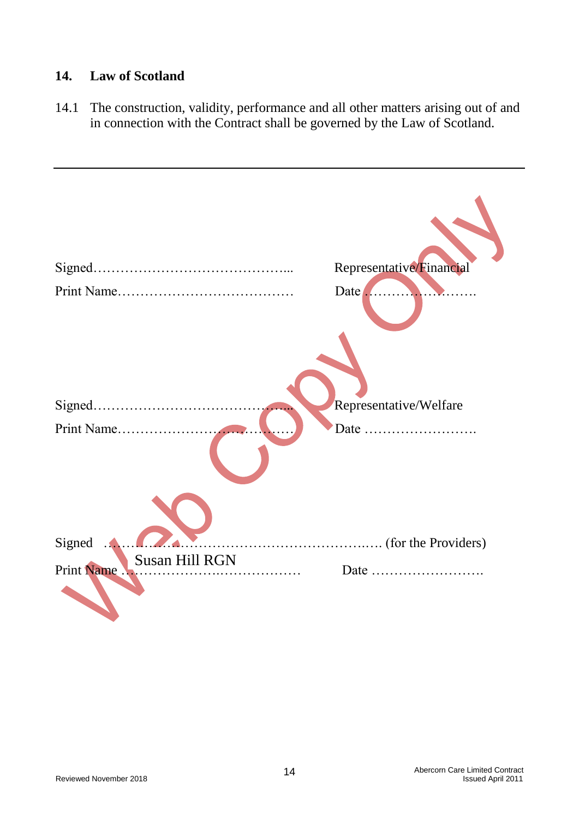#### **14. Law of Scotland**

14.1 The construction, validity, performance and all other matters arising out of and in connection with the Contract shall be governed by the Law of Scotland.

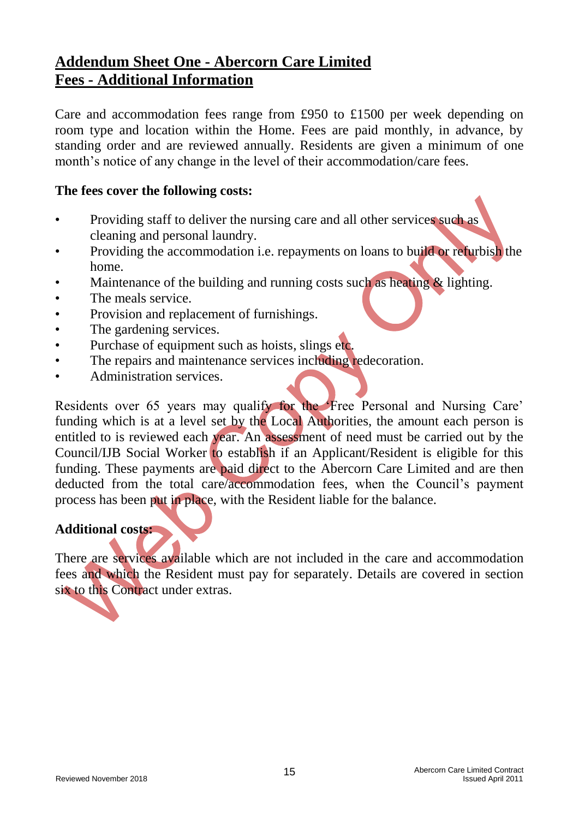### **Addendum Sheet One - Abercorn Care Limited Fees - Additional Information**

Care and accommodation fees range from £950 to £1500 per week depending on room type and location within the Home. Fees are paid monthly, in advance, by standing order and are reviewed annually. Residents are given a minimum of one month's notice of any change in the level of their accommodation/care fees.

#### **The fees cover the following costs:**

- Providing staff to deliver the nursing care and all other services such as cleaning and personal laundry.
- Providing the accommodation i.e. repayments on loans to build or refurbish the home.
- Maintenance of the building and running costs such as heating & lighting.
- The meals service.
- Provision and replacement of furnishings.
- The gardening services.
- Purchase of equipment such as hoists, slings etc.
- The repairs and maintenance services including redecoration.
- Administration services.

Residents over 65 years may qualify for the 'Free Personal and Nursing Care' funding which is at a level set by the Local Authorities, the amount each person is entitled to is reviewed each year. An assessment of need must be carried out by the Council/IJB Social Worker to establish if an Applicant/Resident is eligible for this funding. These payments are paid direct to the Abercorn Care Limited and are then deducted from the total care/accommodation fees, when the Council's payment process has been put in place, with the Resident liable for the balance.

#### **Additional costs:**

There are services available which are not included in the care and accommodation fees and which the Resident must pay for separately. Details are covered in section six to this Contract under extras.